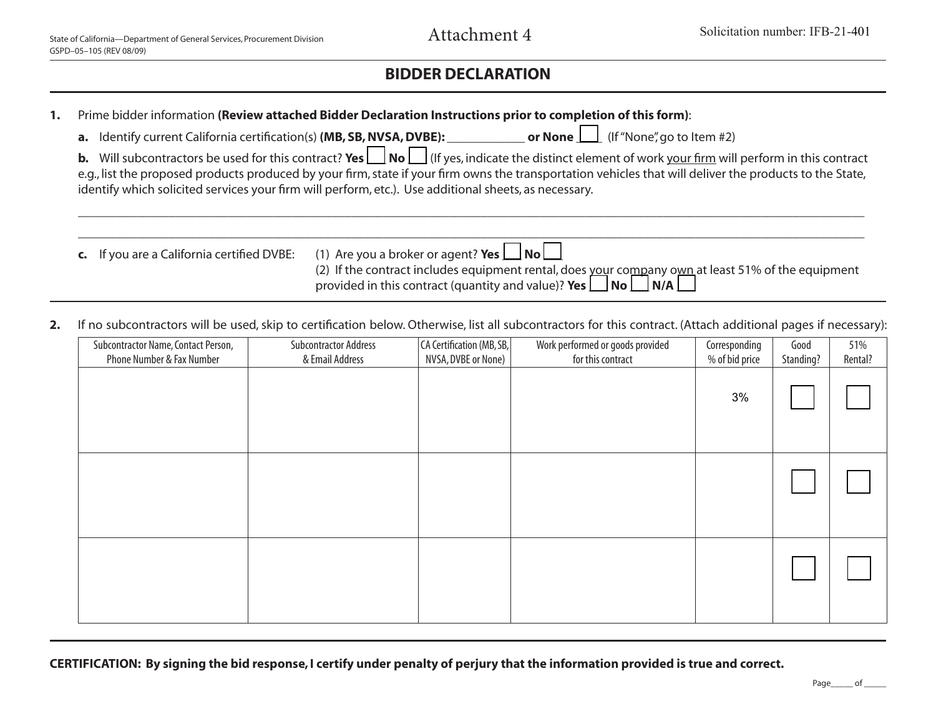## **BIDDER DECLARATION**

| 1. | Prime bidder information (Review attached Bidder Declaration Instructions prior to completion of this form):<br>a. Identify current California certification(s) (MB, SB, NVSA, DVBE): ______________ or None   (If "None", go to Item #2)<br>Will subcontractors be used for this contract? Yes $\Box$ No $\Box$ (If yes, indicate the distinct element of work your firm will perform in this contract<br>$\mathbf b$ .<br>e.g., list the proposed products produced by your firm, state if your firm owns the transportation vehicles that will deliver the products to the State, |                                                                                                                                                                                                            |  |  |  |  |  |
|----|--------------------------------------------------------------------------------------------------------------------------------------------------------------------------------------------------------------------------------------------------------------------------------------------------------------------------------------------------------------------------------------------------------------------------------------------------------------------------------------------------------------------------------------------------------------------------------------|------------------------------------------------------------------------------------------------------------------------------------------------------------------------------------------------------------|--|--|--|--|--|
|    |                                                                                                                                                                                                                                                                                                                                                                                                                                                                                                                                                                                      |                                                                                                                                                                                                            |  |  |  |  |  |
|    |                                                                                                                                                                                                                                                                                                                                                                                                                                                                                                                                                                                      |                                                                                                                                                                                                            |  |  |  |  |  |
|    | identify which solicited services your firm will perform, etc.). Use additional sheets, as necessary.                                                                                                                                                                                                                                                                                                                                                                                                                                                                                |                                                                                                                                                                                                            |  |  |  |  |  |
|    |                                                                                                                                                                                                                                                                                                                                                                                                                                                                                                                                                                                      |                                                                                                                                                                                                            |  |  |  |  |  |
|    | c. If you are a California certified DVBE:                                                                                                                                                                                                                                                                                                                                                                                                                                                                                                                                           | (1) Are you a broker or agent? Yes $\Box$ No $\Box$                                                                                                                                                        |  |  |  |  |  |
|    |                                                                                                                                                                                                                                                                                                                                                                                                                                                                                                                                                                                      | (2) If the contract includes equipment rental, does your company own at least 51% of the equipment<br>provided in this contract (quantity and value)? <b>Yes</b> $\Box$ <b>No</b> $\Box$ <b>N/A</b> $\Box$ |  |  |  |  |  |
|    |                                                                                                                                                                                                                                                                                                                                                                                                                                                                                                                                                                                      | If no subcontractors will be used, skip to certification below. Otherwise, list all subcontractors for this contract. (Attach additional pages if necessary):                                              |  |  |  |  |  |

| Subcontractor Name, Contact Person,<br>Phone Number & Fax Number | <b>Subcontractor Address</b><br>& Email Address | CA Certification (MB, SB,<br>NVSA, DVBE or None) | Work performed or goods provided<br>for this contract | Corresponding<br>% of bid price | Good<br>Standing? | 51%<br>Rental? |
|------------------------------------------------------------------|-------------------------------------------------|--------------------------------------------------|-------------------------------------------------------|---------------------------------|-------------------|----------------|
|                                                                  |                                                 |                                                  |                                                       | 3%                              |                   |                |
|                                                                  |                                                 |                                                  |                                                       |                                 |                   |                |
|                                                                  |                                                 |                                                  |                                                       |                                 |                   |                |